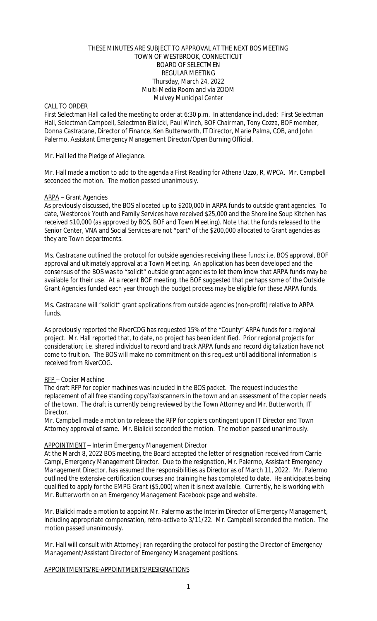#### THESE MINUTES ARE SUBJECT TO APPROVAL AT THE NEXT BOS MEETING TOWN OF WESTBROOK, CONNECTICUT BOARD OF SELECTMEN REGULAR MEETING Thursday, March 24, 2022 Multi-Media Room and via ZOOM Mulvey Municipal Center

## CALL TO ORDER

First Selectman Hall called the meeting to order at 6:30 p.m. In attendance included: First Selectman Hall, Selectman Campbell, Selectman Bialicki, Paul Winch, BOF Chairman, Tony Cozza, BOF member, Donna Castracane, Director of Finance, Ken Butterworth, IT Director, Marie Palma, COB, and John Palermo, Assistant Emergency Management Director/Open Burning Official.

### Mr. Hall led the Pledge of Allegiance.

Mr. Hall made a motion to add to the agenda a First Reading for Athena Uzzo, R, WPCA. Mr. Campbell seconded the motion. The motion passed unanimously.

# ARPA – Grant Agencies

As previously discussed, the BOS allocated up to \$200,000 in ARPA funds to outside grant agencies. To date, Westbrook Youth and Family Services have received \$25,000 and the Shoreline Soup Kitchen has received \$10,000 (as approved by BOS, BOF and Town Meeting). Note that the funds released to the Senior Center, VNA and Social Services are not "part" of the \$200,000 allocated to Grant agencies as they are Town departments.

Ms. Castracane outlined the protocol for outside agencies receiving these funds; i.e. BOS approval, BOF approval and ultimately approval at a Town Meeting. An application has been developed and the consensus of the BOS was to "solicit" outside grant agencies to let them know that ARPA funds may be available for their use. At a recent BOF meeting, the BOF suggested that perhaps some of the Outside Grant Agencies funded each year through the budget process may be eligible for these ARPA funds.

Ms. Castracane will "solicit" grant applications from outside agencies (non-profit) relative to ARPA funds.

As previously reported the RiverCOG has requested 15% of the "County" ARPA funds for a regional project. Mr. Hall reported that, to date, no project has been identified. Prior regional projects for consideration; i.e. shared individual to record and track ARPA funds and record digitalization have not come to fruition. The BOS will make no commitment on this request until additional information is received from RiverCOG.

## RFP – Copier Machine

The draft RFP for copier machines was included in the BOS packet. The request includes the replacement of all free standing copy/fax/scanners in the town and an assessment of the copier needs of the town. The draft is currently being reviewed by the Town Attorney and Mr. Butterworth, IT Director.

Mr. Campbell made a motion to release the RFP for copiers contingent upon IT Director and Town Attorney approval of same. Mr. Bialicki seconded the motion. The motion passed unanimously.

## APPOINTMENT – Interim Emergency Management Director

At the March 8, 2022 BOS meeting, the Board accepted the letter of resignation received from Carrie Campi, Emergency Management Director. Due to the resignation, Mr. Palermo, Assistant Emergency Management Director, has assumed the responsibilities as Director as of March 11, 2022. Mr. Palermo outlined the extensive certification courses and training he has completed to date. He anticipates being qualified to apply for the EMPG Grant (\$5,000) when it is next available. Currently, he is working with Mr. Butterworth on an Emergency Management Facebook page and website.

Mr. Bialicki made a motion to appoint Mr. Palermo as the Interim Director of Emergency Management, including appropriate compensation, retro-active to 3/11/22. Mr. Campbell seconded the motion. The motion passed unanimously.

Mr. Hall will consult with Attorney Jiran regarding the protocol for posting the Director of Emergency Management/Assistant Director of Emergency Management positions.

APPOINTMENTS/RE-APPOINTMENTS/RESIGNATIONS